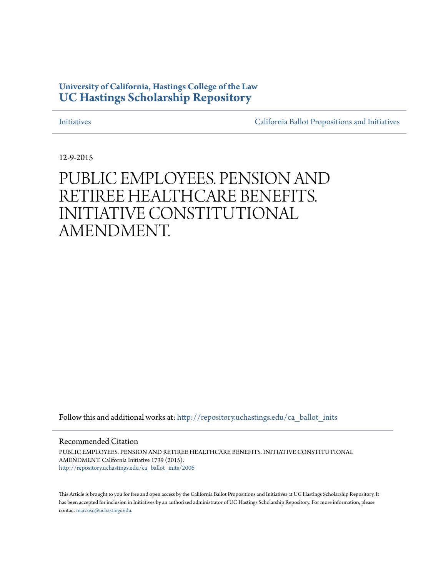#### **University of California, Hastings College of the Law [UC Hastings Scholarship Repository](http://repository.uchastings.edu?utm_source=repository.uchastings.edu%2Fca_ballot_inits%2F2006&utm_medium=PDF&utm_campaign=PDFCoverPages)**

[Initiatives](http://repository.uchastings.edu/ca_ballot_inits?utm_source=repository.uchastings.edu%2Fca_ballot_inits%2F2006&utm_medium=PDF&utm_campaign=PDFCoverPages) [California Ballot Propositions and Initiatives](http://repository.uchastings.edu/ca_ballots?utm_source=repository.uchastings.edu%2Fca_ballot_inits%2F2006&utm_medium=PDF&utm_campaign=PDFCoverPages)

12-9-2015

### PUBLIC EMPLOYEES. PENSION AND RETIREE HEALTHCARE BENEFITS. INITIATIVE CONSTITUTIONAL AMENDMENT.

Follow this and additional works at: [http://repository.uchastings.edu/ca\\_ballot\\_inits](http://repository.uchastings.edu/ca_ballot_inits?utm_source=repository.uchastings.edu%2Fca_ballot_inits%2F2006&utm_medium=PDF&utm_campaign=PDFCoverPages)

Recommended Citation

PUBLIC EMPLOYEES. PENSION AND RETIREE HEALTHCARE BENEFITS. INITIATIVE CONSTITUTIONAL AMENDMENT. California Initiative 1739 (2015). [http://repository.uchastings.edu/ca\\_ballot\\_inits/2006](http://repository.uchastings.edu/ca_ballot_inits/2006?utm_source=repository.uchastings.edu%2Fca_ballot_inits%2F2006&utm_medium=PDF&utm_campaign=PDFCoverPages)

This Article is brought to you for free and open access by the California Ballot Propositions and Initiatives at UC Hastings Scholarship Repository. It has been accepted for inclusion in Initiatives by an authorized administrator of UC Hastings Scholarship Repository. For more information, please contact [marcusc@uchastings.edu](mailto:marcusc@uchastings.edu).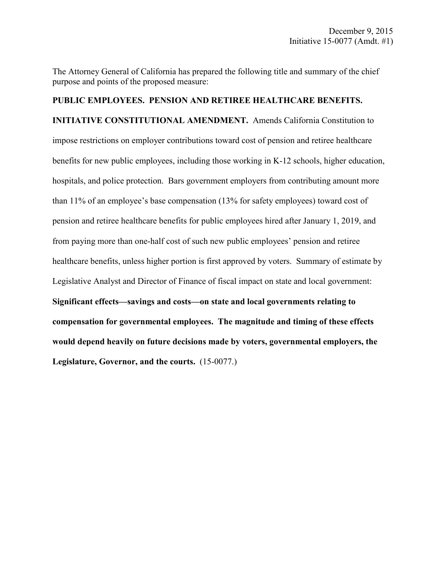The Attorney General of California has prepared the following title and summary of the chief purpose and points of the proposed measure:

## **PUBLIC EMPLOYEES. PENSION AND RETIREE HEALTHCARE BENEFITS. INITIATIVE CONSTITUTIONAL AMENDMENT.** Amends California Constitution to impose restrictions on employer contributions toward cost of pension and retiree healthcare benefits for new public employees, including those working in K-12 schools, higher education, hospitals, and police protection. Bars government employers from contributing amount more than 11% of an employee's base compensation (13% for safety employees) toward cost of pension and retiree healthcare benefits for public employees hired after January 1, 2019, and from paying more than one-half cost of such new public employees' pension and retiree healthcare benefits, unless higher portion is first approved by voters. Summary of estimate by Legislative Analyst and Director of Finance of fiscal impact on state and local government: **Significant effects—savings and costs—on state and local governments relating to compensation for governmental employees. The magnitude and timing of these effects would depend heavily on future decisions made by voters, governmental employers, the Legislature, Governor, and the courts.** (15-0077.)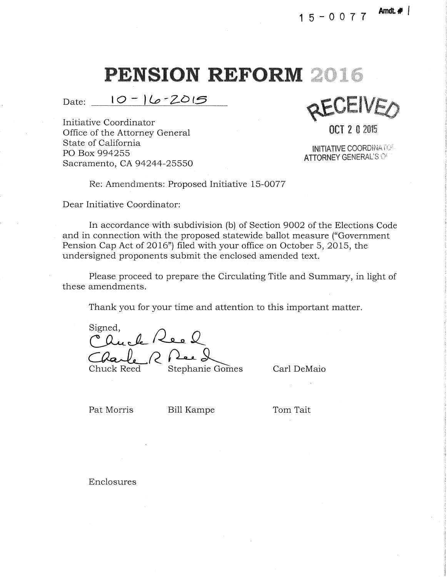Date: 10 - 16 - 2015

Initiative Coordinator Office of the Attorney General and the Contraction of the Attorney General and the Contraction of the Attorney General and the Contraction of the Attorney General and the Contraction of the Attorney General and the Contrac State of California PO Box 994255 Sacramento, CA 94244-25550

**ACAPIA** 

INITIATIVE COORDINATO' **ATTORNEY GENERAL'S OF** 

Re: Amendments: Proposed Initiative 15-0077

Dear Initiative Coordinator:

In accordance with subdivision (b) of Section 9002 of the Elections Code and in connection with the proposed statewide ballot measure ("Government Pension Cap Act of 2016") filed with your office on October 5, 2015, the undersigned proponents submit the enclosed amended text.

Please proceed to prepare the Circulating Title and Summary, in light of these amendments.

Thank you for your time and attention to this important matter.

Cluck Reel<br>Charle R Ree 2

Carl DeMaio

Pat Morris Bill Kampe

Tom Tait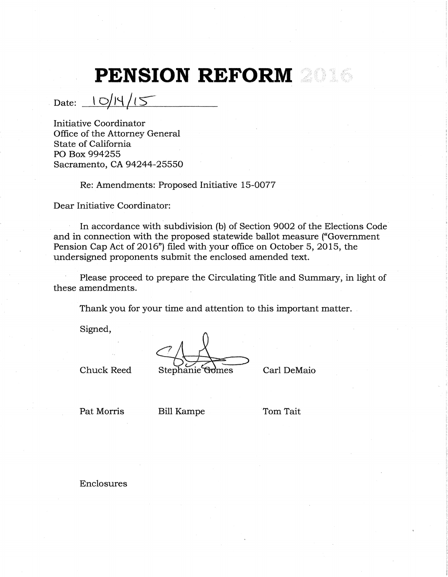$_{\text{Date:}}$   $_{\frac{10}{45}}$ 

Initiative Coordinator Office of the Attorney General State of California PO Box 994255 Sacramento, CA 94244-25550

Re: Amendments: Proposed Initiative 15-0077

Dear Initiative Coordinator:

In accordance with subdivision (b) of Section 9002 of the Elections Code and in connection with the proposed statewide ballot measure ("Government Pension Cap Act of 2016") filed with your office on October 5, 2015, the undersigned proponents submit the enclosed amended text.

Please proceed to prepare the Circulating Title and Summary, in light of these amendments.

Thank you for your time and attention to this important matter.

Signed,

Chuck Reed Stephanie Gomes Carl DeMaio

Pat Morris Bill Kampe Tom Tait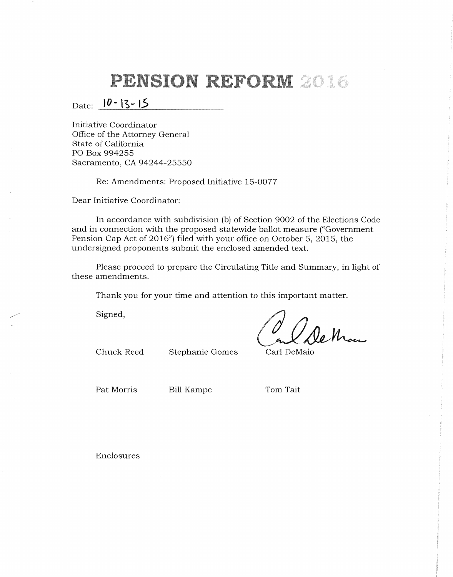### Date:  $|0 - 13 - 15|$

Initiative Coordinator Office of the Attorney General State of California PO Box 994255 Sacramento, CA 94244-25550

Re: Amendments: Proposed Initiative 15-0077

Dear Initiative Coordinator:

In accordance with subdivision (b) of Section 9002 of the Elections Code and in connection with the proposed statewide ballot measure ("Government Pension Cap Act of 2016") filed with your office on October 5, 2015, the undersigned proponents submit the enclosed amended text.

Please proceed to prepare the Circulating Title and Summary, in light of these amendments.

Thank you for your time and attention to this important matter.

Signed,

le Man

Chuck Reed Stephanie Gomes Carl DeMaio

Pat Morris Bill Kampe Tom Tait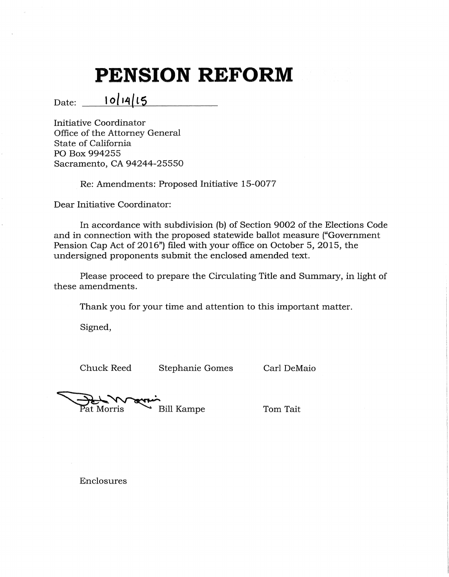Date: **lo/14(t5** 

Initiative Coordinator Office of the Attorney General State of California PO Box 994255 Sacramento, CA 94244-25550

Re: Amendments: Proposed Initiative 15-0077

Dear Initiative Coordinator:

In accordance with subdivision (b) of Section 9002 of the Elections Code and in connection with the proposed statewide ballot measure ("Government Pension Cap Act of 2016") filed with your office on October 5, 2015, the undersigned proponents submit the enclosed amended text.

Please proceed to prepare the Circulating Title and Summary, in light of these amendments.

Thank you for your time and attention to this important matter.

Signed,

Chuck Reed Stephanie Gomes Carl DeMaio

Pat Morris

**Bill Kampe** 

Tom Tait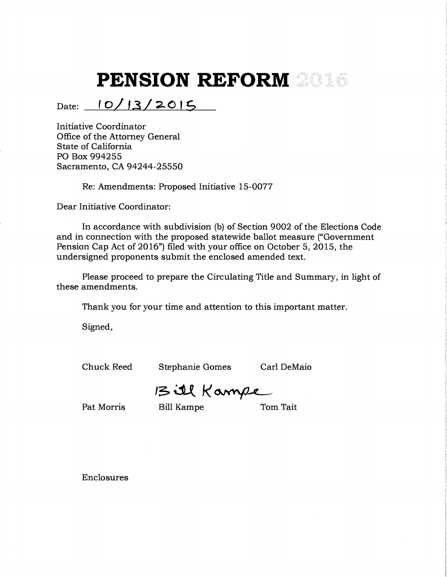#### $Date: 10/13/2015$

Initiative Coordinator Office of the Attorney General State of California PO Box 994255 Sacramento, CA 94244-25550

Re: Amendments: Proposed Initiative 15-0077

Dear Initiative Coordinator:

In accordance with subdivision (b) of Section 9002 of the Elections Code and in connection with the proposed statewide ballot measure ("Government Pension Cap Act of 2016") filed with your office on October 5, 2015, the undersigned proponents submit the enclosed amended text.

Please proceed to prepare the Circulating Title and Summary, in light of these amendments.

Thank you for your time and attention to this important matter.

Signed,

Chuck Reed Stephanie Gomes Carl DeMaio

13 ill Kampe

Pat Morris Bill Kampe Tom Tait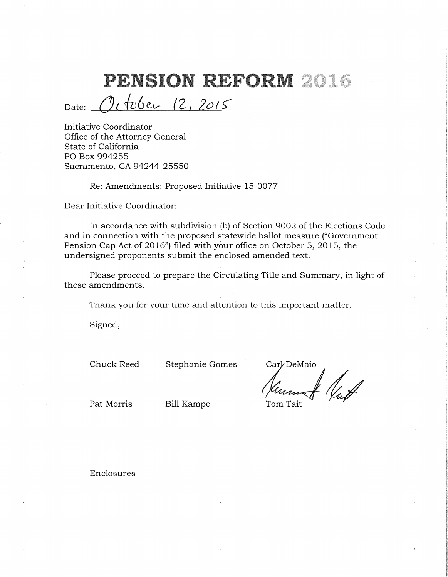October 12, 2015 Date:

Initiative Coordinator Office of the Attorney General State of California PO Box 994255 Sacramento, CA 94244-25550

Re: Amendments: Proposed Initiative 15-0077

Dear Initiative Coordinator:

In accordance with subdivision (b) of Section 9002 of the Elections Code and in connection with the proposed statewide ballot measure ("Government Pension Cap Act of 2016") filed with your office on October 5, 2015, the undersigned proponents submit the enclosed amended text.

Please proceed to prepare the Circulating Title and Summary, in light of these amendments.

Thank you for your time and attention to this important matter.

Signed,

Chuck Reed Stephanie Gomes

Carl DeMaio

Pat Morris Bill Kampe Tom Tait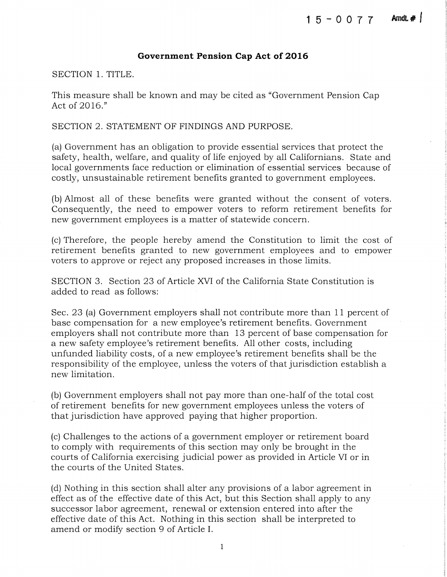#### **Government Pension Cap Act of 2016**

SECTION 1. TITLE.

This measure shall be known and may be cited as "Government Pension Cap Act of 2016."

SECTION 2. STATEMENT OF FINDINGS AND PURPOSE.

(a) Government has an obligation to provide essential services that protect the safety, health, welfare, and quality of life enjoyed by all Californians. State and local governments face reduction or elimination of essential services because of costly, unsustainable retirement benefits granted to government employees.

(b) Almost all of these benefits were granted without the consent of voters. Consequently, the need to empower voters to reform retirement benefits for new government employees is a matter of statewide concern.

(c) Therefore, the people hereby amend the Constitution to limit the cost of retirement benefits granted to new government employees and to empower voters to approve or reject any proposed increases in those limits.

SECTION 3. Section 23 of Article XVI of the California State Constitution is added to read as follows:

Sec. 23 (a) Government employers shall not contribute more than 11 percent of base compensation for a new employee's retirement benefits. Government employers shall not contribute more than 13 percent of base compensation for a new safety employee's retirement benefits. All other costs, including unfunded liability costs, of a new employee's retirement benefits shall be the responsibility of the employee, unless the voters of that jurisdiction establish a new limitation.

(b) Government employers shall not pay more than one-half of the total cost of retirement benefits for new government employees unless the voters of that jurisdiction have approved paying that higher proportion.

(c) Challenges to the actions of a government employer or retirement board to comply with requirements of this section may only be brought in the courts of California exercising judicial power as provided in Article VI or in the courts of the United States.

(d) Nothing in this section shall alter any provisions of a labor agreement in effect as of the effective date of this Act, but this Section shall apply to any successor labor agreement, renewal or extension entered into after the effective date of this Act. Nothing in this section shall be interpreted to amend or modify section 9 of Article I.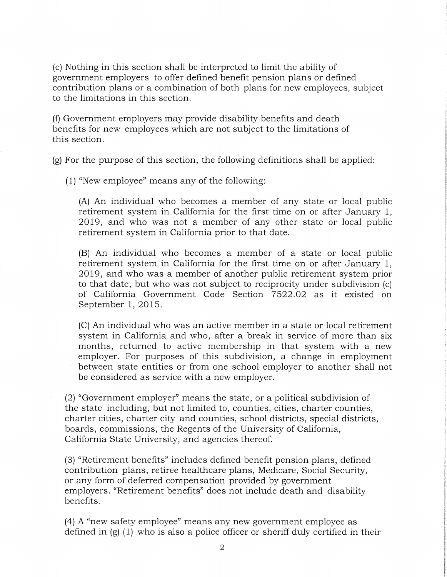(e) Nothing in this section shall be interpreted to limit the ability of government employers to offer defined benefit pension plans or defined contribution plans or a combination of both plans for new employees, subject to the limitations in this section.

(f) Government employers may provide disability benefits and death benefits for new employees which are not subject to the limitations of this section.

(g) For the purpose of this section, the following definitions shall be applied:

(1) "New employee" means any of the following:

(A) An individual who becomes a member of any state or local public retirement system in California for the first time on or after January 1, 2019, and who was not a member of any other state or local public retirement system in California prior to that date.

(B) An individual who becomes a member of a state or local public retirement system in California for the first time on or after January 1, 2019, and who was a member of another public retirement system prior to that date, but who was not subject to reciprocity under subdivision (c) of California Government Code Section 7522.02 as it existed on September 1, 2015.

(C) An individual who was an active member in a state or local retirement system in California and who, after a break in service of more than six months, returned to active membership in that system with a new employer. For purposes of this subdivision, a change in employment between state entities or from one school employer to another shall not be considered as service with a new employer.

(2) "Government employer" means the state, or a political subdivision of the state including, but not limited to, counties, cities, charter counties, charter cities, charter city and counties, school districts, special districts, boards, commissions, the Regents of the University of California, California State University, and agencies thereof.

(3) "Retirement benefits" includes defined benefit pension plans, defined contribution plans, retiree healthcare plans, Medicare, Social Security, or any form of deferred compensation provided by government employers. "Retirement benefits" does not include death and disability benefits.

(4) A "new safety employee" means any new government employee as defined in  $(g)$  (1) who is also a police officer or sheriff duly certified in their